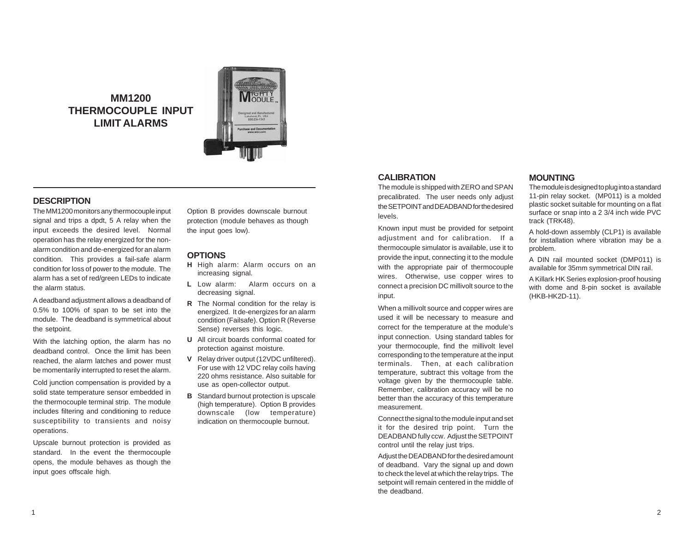**MM1200 THERMOCOUPLE INPUT LIMIT ALARMS**



## **DESCRIPTION**

The MM1200 monitors any thermocouple input signal and trips a dpdt, 5 A relay when the input exceeds the desired level. Normal operation has the relay energized for the nonalarm condition and de-energized for an alarm condition. This provides a fail-safe alarm condition for loss of power to the module. The alarm has a set of red/green LEDs to indicate the alarm status.

A deadband adjustment allows a deadband of 0.5% to 100% of span to be set into the module. The deadband is symmetrical about the setpoint.

With the latching option, the alarm has no deadband control. Once the limit has been reached, the alarm latches and power must be momentarily interrupted to reset the alarm.

Cold junction compensation is provided by a solid state temperature sensor embedded in the thermocouple terminal strip. The module includes filtering and conditioning to reduce susceptibility to transients and noisy operations.

Upscale burnout protection is provided as standard. In the event the thermocouple opens, the module behaves as though the input goes offscale high.

Option B provides downscale burnout protection (module behaves as though the input goes low).

## **OPTIONS**

- **H** High alarm: Alarm occurs on an increasing signal.
- **L** Low alarm: Alarm occurs on a decreasing signal.
- **R** The Normal condition for the relay is energized. It de-energizes for an alarm condition (Failsafe). Option R (Reverse Sense) reverses this logic.
- **U** All circuit boards conformal coated for protection against moisture.
- **V** Relay driver output (12VDC unfiltered). For use with 12 VDC relay coils having 220 ohms resistance. Also suitable for use as open-collector output.
- **B** Standard burnout protection is upscale (high temperature). Option B provides downscale (low temperature) indication on thermocouple burnout.

## **CALIBRATION**

The module is shipped with ZERO and SPAN precalibrated. The user needs only adjust the SETPOINT and DEADBAND for the desired levels.

Known input must be provided for setpoint adjustment and for calibration. If a thermocouple simulator is available, use it to provide the input, connecting it to the module with the appropriate pair of thermocouple wires. Otherwise, use copper wires to connect a precision DC millivolt source to the input.

When a millivolt source and copper wires are used it will be necessary to measure and correct for the temperature at the module's input connection. Using standard tables for your thermocouple, find the millivolt level corresponding to the temperature at the input terminals. Then, at each calibration temperature, subtract this voltage from the voltage given by the thermocouple table. Remember, calibration accuracy will be no better than the accuracy of this temperature measurement.

Connect the signal to the module input and set it for the desired trip point. Turn the DEADBAND fully ccw. Adjust the SETPOINT control until the relay just trips.

Adjust the DEADBAND for the desired amount of deadband. Vary the signal up and down to check the level at which the relay trips. The setpoint will remain centered in the middle of the deadband.

#### **MOUNTING**

The module is designed to plug into a standard 11-pin relay socket. (MP011) is a molded plastic socket suitable for mounting on a flat surface or snap into a 2 3/4 inch wide PVC track (TRK48).

A hold-down assembly (CLP1) is available for installation where vibration may be a problem.

A DIN rail mounted socket (DMP011) is available for 35mm symmetrical DIN rail.

A Killark HK Series explosion-proof housing with dome and 8-pin socket is available (HKB-HK2D-11).